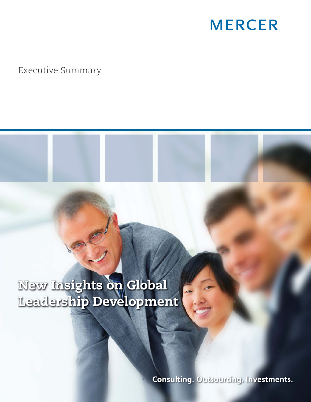## **MERCER**

Executive Summary

**New Insights on Global Leadership Development**

**Consulting. Outsourcing. Investments.**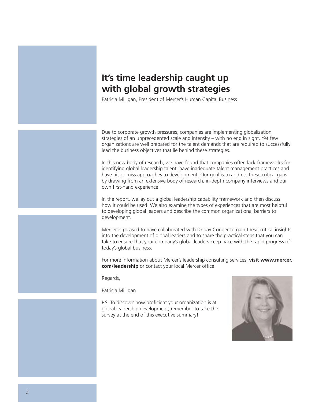## **It's time leadership caught up with global growth strategies**

Patricia Milligan, President of Mercer's Human Capital Business

Due to corporate growth pressures, companies are implementing globalization strategies of an unprecedented scale and intensity – with no end in sight. Yet few organizations are well prepared for the talent demands that are required to successfully lead the business objectives that lie behind these strategies.

In this new body of research, we have found that companies often lack frameworks for identifying global leadership talent, have inadequate talent management practices and have hit-or-miss approaches to development. Our goal is to address these critical gaps by drawing from an extensive body of research, in-depth company interviews and our own first-hand experience.

In the report, we lay out a global leadership capability framework and then discuss how it could be used. We also examine the types of experiences that are most helpful to developing global leaders and describe the common organizational barriers to development.

Mercer is pleased to have collaborated with Dr. Jay Conger to gain these critical insights into the development of global leaders and to share the practical steps that you can take to ensure that your company's global leaders keep pace with the rapid progress of today's global business.

For more information about Mercer's leadership consulting services, **visit www.mercer. com/leadership** or contact your local Mercer office.

Regards,

Patricia Milligan

P.S. To discover how proficient your organization is at global leadership development, remember to take the survey at the end of this executive summary!

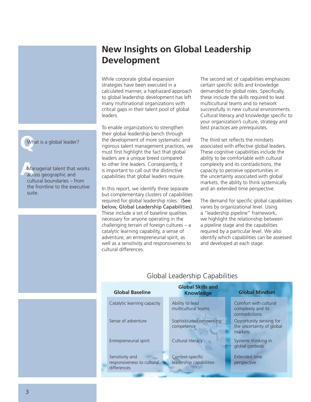## **New Insights on Global Leadership Development**

While corporate global expansion strategies have been executed in a calculated manner, a haphazard approach to global leadership development has left many multinational organizations with critical gaps in their talent pool of global leaders.

To enable organizations to strengthen their global leadership bench through the development of more systematic and rigorous talent management practices, we must first highlight the fact that global leaders are a unique breed compared to other line leaders. Consequently, it is important to call out the distinctive capabilities that global leaders require.

In this report, we identify three separate but complementary clusters of capabilities required for global leadership roles. (See below, Global Leadership Capabilities). These include a set of baseline qualities necessary for anyone operating in the challenging terrain of foreign cultures – a catalytic learning capability, a sense of adventure, an entrepreneurial spirit, as well as a sensitivity and responsiveness to cultural differences.

The second set of capabilities emphasizes certain specific skills and knowledge demanded for global roles. Specifically, these include the skills required to lead multicultural teams and to network successfully in new cultural environments. Cultural literacy and knowledge specific to your organization's culture, strategy and best practices are prerequisites.

The third set reflects the mindsets associated with effective global leaders. These cognitive capabilities include the ability to be comfortable with cultural complexity and its contradictions, the capacity to perceive opportunities in the uncertainty associated with global markets, the ability to think systemically and an extended time perspective.

The demand for specific global capabilities varies by organizational level. Using a "leadership pipeline" framework, we highlight the relationship between a pipeline stage and the capabilities required by a particular level. We also identify which capabilities can be assessed and developed at each stage.

| <b>Global Baseline</b>                                       | <b>Global Skills and</b><br><b>Knowledge</b> | <b>Global Mindset</b>                                           |  |  |
|--------------------------------------------------------------|----------------------------------------------|-----------------------------------------------------------------|--|--|
| Catalytic learning capacity                                  | Ability to lead<br>multicultural teams       | Comfort with cultural<br>complexity and its<br>contradictions   |  |  |
| Sense of adventure                                           | Sophisticated networking<br>competence       | Opportunity sensing for<br>the uncertainty of global<br>markets |  |  |
| Entrepreneurial spirit                                       | Cultural literacy                            | Systems thinking in<br>global contexts                          |  |  |
| Sensitivity and<br>responsiveness to cultural<br>differences | Context-specific<br>leadership capabilities  | <b>Extended time</b><br>perspective                             |  |  |

Global Leadership Capabilities

**Q** What is a global leader?

**A**<br>A<br>A<br>A<br>A<br>C<br>R Managerial talent that works across geographic and cultural boundaries – from the frontline to the executive suite.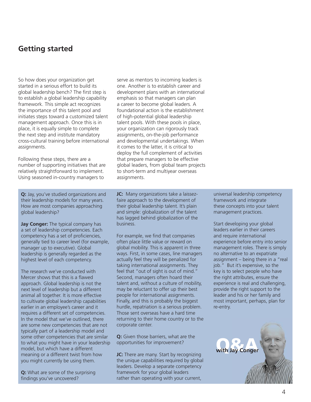### **Getting started**

So how does your organization get started in a serious effort to build its global leadership bench? The first step is to establish a global leadership capability framework. This simple act recognizes the importance of this talent pool and initiates steps toward a customized talent management approach. Once this is in place, it is equally simple to complete the next step and institute mandatory cross-cultural training before international assignments.

Following these steps, there are a number of supporting initiatives that are relatively straightforward to implement. Using seasoned in-country managers to

serve as mentors to incoming leaders is one. Another is to establish career and development plans with an international emphasis so that managers can plan a career to become global leaders. A foundational action is the establishment of high-potential global leadership talent pools. With these pools in place, your organization can rigorously track assignments, on-the-job performance and developmental undertakings. When it comes to the latter, it is critical to deploy the full complement of activities that prepare managers to be effective global leaders, from global team projects to short-term and multiyear overseas assignments.

**Q:** Jay, you've studied organizations and their leadership models for many years. How are most companies approaching global leadership?

**Jay Conger:** The typical company has a set of leadership competencies. Each competency has a set of proficiencies, generally tied to career level (for example, manager up to executive). Global leadership is generally regarded as the highest level of each competency.

The research we've conducted with Mercer shows that this is a flawed approach. Global leadership is not the next level of leadership but a different animal all together. It is more effective to cultivate global leadership capabilities earlier in an employee's career and it requires a different set of competencies. In the model that we've outlined, there are some new competencies that are not typically part of a leadership model and some other competencies that are similar to what you might have in your leadership model, but which have a different meaning or a different twist from how you might currently be using them.

**Q:** What are some of the surprising findings you've uncovered?

**JC:** Many organizations take a laissezfaire approach to the development of their global leadership talent. It's plain and simple: globalization of the talent has lagged behind globalization of the business.

For example, we find that companies often place little value or reward on global mobility. This is apparent in three ways. First, in some cases, line managers actually feel they will be penalized for taking international assignments. They feel that "out of sight is out of mind." Second, managers often hoard their talent and, without a culture of mobility, may be reluctant to offer up their best people for international assignments. Finally, and this is probably the biggest hurdle, repatriation is a serious problem. Those sent overseas have a hard time returning to their home country or to the corporate center.

**Q:** Given those barriers, what are the opportunities for improvement?

**JC:** There are many. Start by recognizing the unique capabilities required by global leaders. Develop a separate competency framework for your global leaders rather than operating with your current,

universal leadership competency framework and integrate these concepts into your talent management practices.

Start developing your global leaders earlier in their careers and require international experience before entry into senior management roles. There is simply no alternative to an expatriate assignment – being there in a "real job." But it's expensive, so the key is to select people who have the right attributes, ensure the experience is real and challenging, provide the right support to the leader and his or her family and most important, perhaps, plan for re-entry.

**with Jay Conger**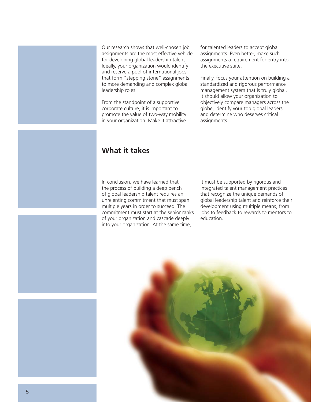Our research shows that well-chosen job assignments are the most effective vehicle for developing global leadership talent. Ideally, your organization would identify and reserve a pool of international jobs that form "stepping stone" assignments to more demanding and complex global leadership roles.

From the standpoint of a supportive corporate culture, it is important to promote the value of two-way mobility in your organization. Make it attractive

for talented leaders to accept global assignments. Even better, make such assignments a requirement for entry into the executive suite.

Finally, focus your attention on building a standardized and rigorous performance management system that is truly global. It should allow your organization to objectively compare managers across the globe, identify your top global leaders and determine who deserves critical assignments.

## **What it takes**

In conclusion, we have learned that the process of building a deep bench of global leadership talent requires an unrelenting commitment that must span multiple years in order to succeed. The commitment must start at the senior ranks of your organization and cascade deeply into your organization. At the same time,

it must be supported by rigorous and integrated talent management practices that recognize the unique demands of global leadership talent and reinforce their development using multiple means, from jobs to feedback to rewards to mentors to education.

5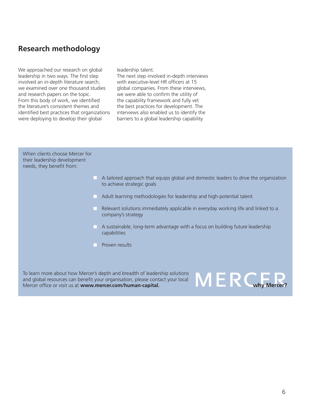## **Research methodology**

We approached our research on global leadership in two ways. The first step involved an in-depth literature search; we examined over one thousand studies and research papers on the topic. From this body of work, we identified the literature's consistent themes and identified best practices that organizations were deploying to develop their global

leadership talent.

The next step involved in-depth interviews with executive-level HR officers at 15 global companies. From these interviews, we were able to confirm the utility of the capability framework and fully vet the best practices for development. The interviews also enabled us to identify the barriers to a global leadership capability.

When clients choose Mercer for their leadership development needs, they benefit from:

- $\Box$  A tailored approach that equips global and domestic leaders to drive the organization to achieve strategic goals
- Adult learning methodologies for leadership and high-potential talent
- Relevant solutions immediately applicable in everyday working life and linked to a  $\blacksquare$  . company's strategy
- $\Box$  A sustainable, long-term advantage with a focus on building future leadership capabilities
- **Proven results**

To learn more about how Mercer's depth and breadth of leadership solutions and global resources can benefit your organisation, please contact your local Mercer office or visit us at www.mercer.com/human-capital.

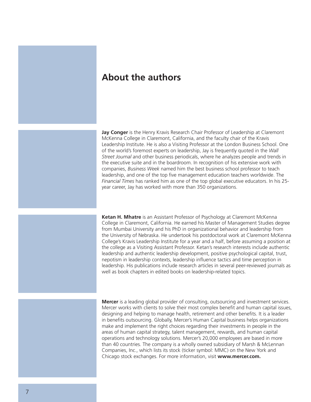## **About the authors**

**Jay Conger** is the Henry Kravis Research Chair Professor of Leadership at Claremont McKenna College in Claremont, California, and the faculty chair of the Kravis Leadership Institute. He is also a Visiting Professor at the London Business School. One of the world's foremost experts on leadership, Jay is frequently quoted in the *Wall Street Journal* and other business periodicals, where he analyzes people and trends in the executive suite and in the boardroom. In recognition of his extensive work with companies, *Business Week* named him the best business school professor to teach leadership, and one of the top five management education teachers worldwide. The *Financial Times* has ranked him as one of the top global executive educators. In his 25 year career, Jay has worked with more than 350 organizations.

**Ketan H. Mhatre** is an Assistant Professor of Psychology at Claremont McKenna College in Claremont, California. He earned his Master of Management Studies degree from Mumbai University and his PhD in organizational behavior and leadership from the University of Nebraska. He undertook his postdoctoral work at Claremont McKenna College's Kravis Leadership Institute for a year and a half, before assuming a position at the college as a Visiting Assistant Professor. Ketan's research interests include authentic leadership and authentic leadership development, positive psychological capital, trust, nepotism in leadership contexts, leadership influence tactics and time perception in leadership. His publications include research articles in several peer-reviewed journals as well as book chapters in edited books on leadership-related topics.

**Mercer** is a leading global provider of consulting, outsourcing and investment services. Mercer works with clients to solve their most complex benefit and human capital issues, designing and helping to manage health, retirement and other benefits. It is a leader in benefits outsourcing. Globally, Mercer's Human Capital business helps organizations make and implement the right choices regarding their investments in people in the areas of human capital strategy, talent management, rewards, and human capital operations and technology solutions. Mercer's 20,000 employees are based in more than 40 countries. The company is a wholly owned subsidiary of Marsh & McLennan Companies, Inc., which lists its stock (ticker symbol: MMC) on the New York and Chicago stock exchanges. For more information, visit **www.mercer.com.**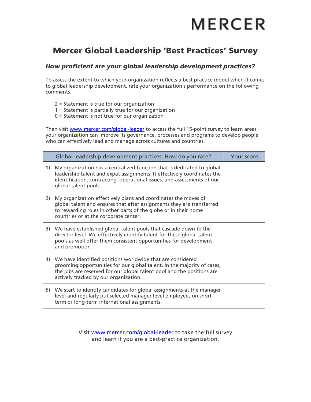# **MERCER**

## **Mercer Global Leadership 'Best Practices' Survey**

### *How proficient are your global leadership development practices?*

To assess the extent to which your organization reflects a best practice model when it comes to global leadership development, rate your organization's performance on the following comments.

- 2 = Statement is true for our organization
- 1 = Statement is partially true for our organization
- $0 =$  Statement is not true for our organization

Then visit [www.mercer.com/global-leader](http://www.mercer.com/global-leader) to access the full 15-point survey to learn areas your organization can improve its governance, processes and programs to develop people who can effectively lead and manage across cultures and countries.

|    | Global leadership development practices: How do you rate?                                                                                                                                                                                                | Your score |
|----|----------------------------------------------------------------------------------------------------------------------------------------------------------------------------------------------------------------------------------------------------------|------------|
| 1) | My organization has a centralized function that is dedicated to global<br>leadership talent and expat assignments. It effectively coordinates the<br>identification, contracting, operational issues, and assessments of our<br>global talent pools.     |            |
| 2) | My organization effectively plans and coordinates the moves of<br>global talent and ensures that after assignments they are transferred<br>to rewarding roles in other parts of the globe or in their home<br>countries or at the corporate center.      |            |
| 3) | We have established global talent pools that cascade down to the<br>director level. We effectively identify talent for these global talent<br>pools as well offer them consistent opportunities for development<br>and promotion.                        |            |
| 4) | We have identified positions worldwide that are considered<br>grooming opportunities for our global talent. In the majority of cases,<br>the jobs are reserved for our global talent pool and the positions are<br>actively tracked by our organization. |            |
| 5) | We start to identify candidates for global assignments at the manager<br>level and regularly put selected manager level employees on short-<br>term or long-term international assignments.                                                              |            |

Visit [www.mercer.com/global-leader](http://www.mercer.com/global-leader) to take the full survey and learn if you are a best-practice organization.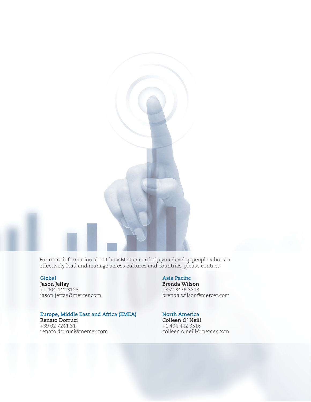For more information about how Mercer can help you develop people who can effectively lead and manage across cultures and countries, please contact:

**Jason Jeffay**<br>+1 404 442 3125 **Brenda Wilson**<br>+852 3476 3813 jason.jeffay@mercer.com

### **Europe, Middle East and Africa (EMEA) North America**

**Renato Dorruci Colleen O' Neill** +39 02 7241 31 +1 404 442 3516 renato.dorruci@mercer.com

**Global** Asia Pacific

+1 404 442 3125 +852 3476 3813